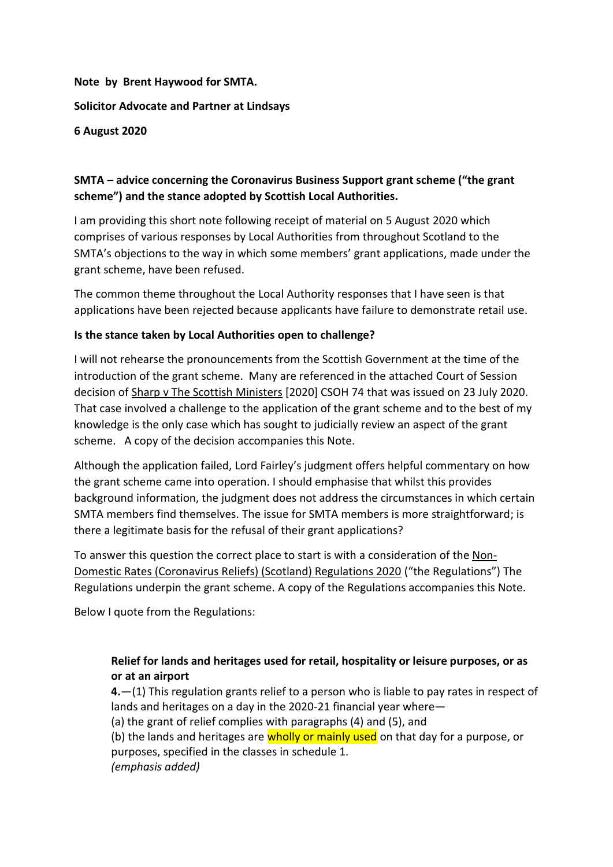# **Note by Brent Haywood for SMTA. Solicitor Advocate and Partner at Lindsays 6 August 2020**

## **SMTA – advice concerning the Coronavirus Business Support grant scheme ("the grant scheme") and the stance adopted by Scottish Local Authorities.**

I am providing this short note following receipt of material on 5 August 2020 which comprises of various responses by Local Authorities from throughout Scotland to the SMTA's objections to the way in which some members' grant applications, made under the grant scheme, have been refused.

The common theme throughout the Local Authority responses that I have seen is that applications have been rejected because applicants have failure to demonstrate retail use.

# **Is the stance taken by Local Authorities open to challenge?**

I will not rehearse the pronouncements from the Scottish Government at the time of the introduction of the grant scheme. Many are referenced in the attached Court of Session decision of Sharp v The Scottish Ministers [2020] CSOH 74 that was issued on 23 July 2020. That case involved a challenge to the application of the grant scheme and to the best of my knowledge is the only case which has sought to judicially review an aspect of the grant scheme. A copy of the decision accompanies this Note.

Although the application failed, Lord Fairley's judgment offers helpful commentary on how the grant scheme came into operation. I should emphasise that whilst this provides background information, the judgment does not address the circumstances in which certain SMTA members find themselves. The issue for SMTA members is more straightforward; is there a legitimate basis for the refusal of their grant applications?

To answer this question the correct place to start is with a consideration of the Non-Domestic Rates (Coronavirus Reliefs) (Scotland) Regulations 2020 ("the Regulations") The Regulations underpin the grant scheme. A copy of the Regulations accompanies this Note.

Below I quote from the Regulations:

## **Relief for lands and heritages used for retail, hospitality or leisure purposes, or as or at an airport**

**4.**—(1) This regulation grants relief to a person who is liable to pay rates in respect of lands and heritages on a day in the 2020-21 financial year where—

(a) the grant of relief complies with paragraphs (4) and (5), and

(b) the lands and heritages are wholly or mainly used on that day for a purpose, or purposes, specified in the classes in schedule 1. *(emphasis added)*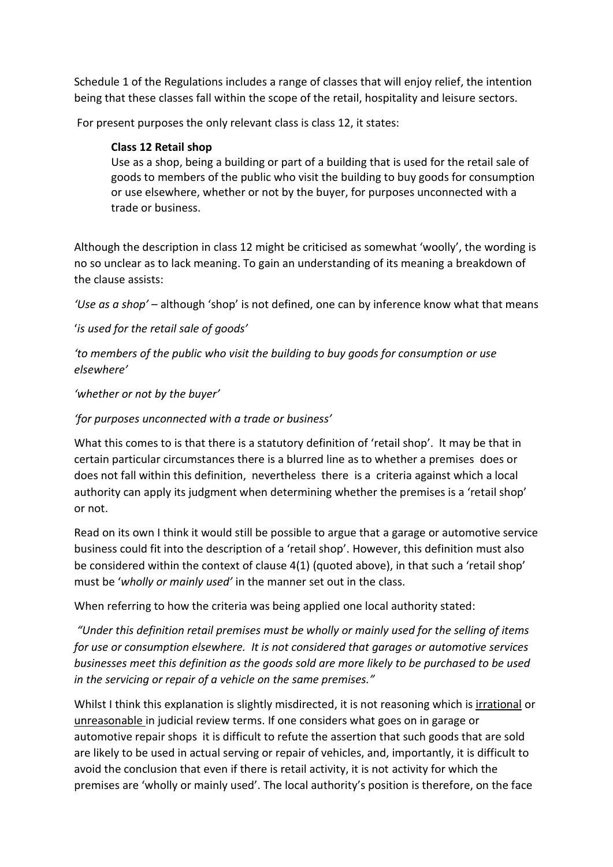Schedule 1 of the Regulations includes a range of classes that will enjoy relief, the intention being that these classes fall within the scope of the retail, hospitality and leisure sectors.

For present purposes the only relevant class is class 12, it states:

#### **Class 12 Retail shop**

Use as a shop, being a building or part of a building that is used for the retail sale of goods to members of the public who visit the building to buy goods for consumption or use elsewhere, whether or not by the buyer, for purposes unconnected with a trade or business.

Although the description in class 12 might be criticised as somewhat 'woolly', the wording is no so unclear as to lack meaning. To gain an understanding of its meaning a breakdown of the clause assists:

*'Use as a shop'* – although 'shop' is not defined, one can by inference know what that means

#### '*is used for the retail sale of goods'*

*'to members of the public who visit the building to buy goods for consumption or use elsewhere'*

*'whether or not by the buyer'*

*'for purposes unconnected with a trade or business'*

What this comes to is that there is a statutory definition of 'retail shop'. It may be that in certain particular circumstances there is a blurred line as to whether a premises does or does not fall within this definition, nevertheless there is a criteria against which a local authority can apply its judgment when determining whether the premises is a 'retail shop' or not.

Read on its own I think it would still be possible to argue that a garage or automotive service business could fit into the description of a 'retail shop'. However, this definition must also be considered within the context of clause 4(1) (quoted above), in that such a 'retail shop' must be '*wholly or mainly used'* in the manner set out in the class.

When referring to how the criteria was being applied one local authority stated:

*"Under this definition retail premises must be wholly or mainly used for the selling of items for use or consumption elsewhere. It is not considered that garages or automotive services businesses meet this definition as the goods sold are more likely to be purchased to be used in the servicing or repair of a vehicle on the same premises."*

Whilst I think this explanation is slightly misdirected, it is not reasoning which is irrational or unreasonable in judicial review terms. If one considers what goes on in garage or automotive repair shops it is difficult to refute the assertion that such goods that are sold are likely to be used in actual serving or repair of vehicles, and, importantly, it is difficult to avoid the conclusion that even if there is retail activity, it is not activity for which the premises are 'wholly or mainly used'. The local authority's position is therefore, on the face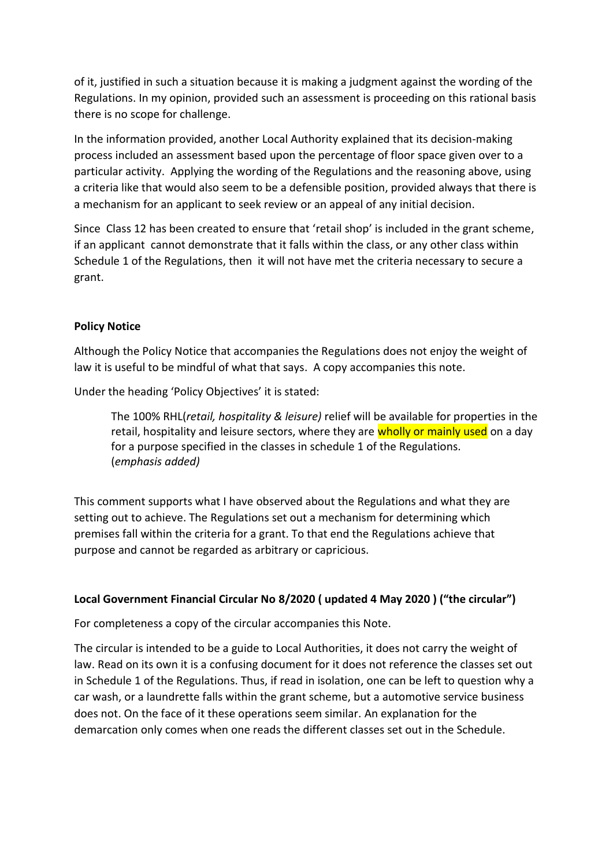of it, justified in such a situation because it is making a judgment against the wording of the Regulations. In my opinion, provided such an assessment is proceeding on this rational basis there is no scope for challenge.

In the information provided, another Local Authority explained that its decision-making process included an assessment based upon the percentage of floor space given over to a particular activity. Applying the wording of the Regulations and the reasoning above, using a criteria like that would also seem to be a defensible position, provided always that there is a mechanism for an applicant to seek review or an appeal of any initial decision.

Since Class 12 has been created to ensure that 'retail shop' is included in the grant scheme, if an applicant cannot demonstrate that it falls within the class, or any other class within Schedule 1 of the Regulations, then it will not have met the criteria necessary to secure a grant.

#### **Policy Notice**

Although the Policy Notice that accompanies the Regulations does not enjoy the weight of law it is useful to be mindful of what that says. A copy accompanies this note.

Under the heading 'Policy Objectives' it is stated:

The 100% RHL(*retail, hospitality & leisure)* relief will be available for properties in the retail, hospitality and leisure sectors, where they are wholly or mainly used on a day for a purpose specified in the classes in schedule 1 of the Regulations. (*emphasis added)*

This comment supports what I have observed about the Regulations and what they are setting out to achieve. The Regulations set out a mechanism for determining which premises fall within the criteria for a grant. To that end the Regulations achieve that purpose and cannot be regarded as arbitrary or capricious.

#### **Local Government Financial Circular No 8/2020 ( updated 4 May 2020 ) ("the circular")**

For completeness a copy of the circular accompanies this Note.

The circular is intended to be a guide to Local Authorities, it does not carry the weight of law. Read on its own it is a confusing document for it does not reference the classes set out in Schedule 1 of the Regulations. Thus, if read in isolation, one can be left to question why a car wash, or a laundrette falls within the grant scheme, but a automotive service business does not. On the face of it these operations seem similar. An explanation for the demarcation only comes when one reads the different classes set out in the Schedule.